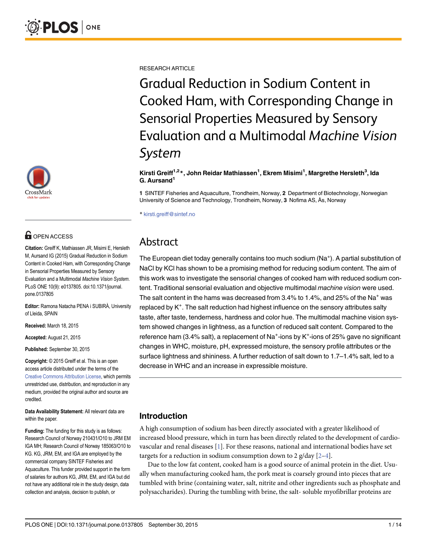

# **G** OPEN ACCESS

Citation: Greiff K, Mathiassen JR, Misimi E, Hersleth M, Aursand IG (2015) Gradual Reduction in Sodium Content in Cooked Ham, with Corresponding Change in Sensorial Properties Measured by Sensory Evaluation and a Multimodal Machine Vision System. PLoS ONE 10(9): e0137805. doi:10.1371/journal. pone.0137805

Editor: Ramona Natacha PENA i SUBIRÀ, University of Lleida, SPAIN

Received: March 18, 2015

Accepted: August 21, 2015

Published: September 30, 2015

Copyright: © 2015 Greiff et al. This is an open access article distributed under the terms of the [Creative Commons Attribution License,](http://creativecommons.org/licenses/by/4.0/) which permits unrestricted use, distribution, and reproduction in any medium, provided the original author and source are credited.

Data Availability Statement: All relevant data are within the paper.

Funding: The funding for this study is as follows: Research Council of Norway 210431/O10 to JRM EM IGA MH; Research Council of Norway 185063/O10 to KG. KG, JRM, EM, and IGA are employed by the commercial company SINTEF Fisheries and Aquaculture. This funder provided support in the form of salaries for authors KG, JRM, EM, and IGA but did not have any additional role in the study design, data collection and analysis, decision to publish, or

<span id="page-0-0"></span>RESEARCH ARTICLE

Gradual Reduction in Sodium Content in Cooked Ham, with Corresponding Change in Sensorial Properties Measured by Sensory Evaluation and a Multimodal Machine Vision System

#### Kirsti Greiff<sup>1,2</sup>\*, John Reidar Mathiassen<sup>1</sup>, Ekrem Misimi<sup>1</sup>, Margrethe Hersleth<sup>3</sup>, Ida G. Aursand<sup>1</sup>

1 SINTEF Fisheries and Aquaculture, Trondheim, Norway, 2 Department of Biotechnology, Norwegian University of Science and Technology, Trondheim, Norway, 3 Nofima AS, Ås, Norway

\* kirsti.greiff@sintef.no

# Abstract

The European diet today generally contains too much sodium (Na<sup>+</sup>). A partial substitution of NaCl by KCl has shown to be a promising method for reducing sodium content. The aim of this work was to investigate the sensorial changes of cooked ham with reduced sodium content. Traditional sensorial evaluation and objective multimodal machine vision were used. The salt content in the hams was decreased from 3.4% to 1.4%, and 25% of the Na<sup>+</sup> was replaced by K<sup>+</sup>. The salt reduction had highest influence on the sensory attributes salty taste, after taste, tenderness, hardness and color hue. The multimodal machine vision system showed changes in lightness, as a function of reduced salt content. Compared to the reference ham (3.4% salt), a replacement of Na<sup>+</sup>-ions by K<sup>+</sup>-ions of 25% gave no significant changes in WHC, moisture, pH, expressed moisture, the sensory profile attributes or the surface lightness and shininess. A further reduction of salt down to 1.7–1.4% salt, led to a decrease in WHC and an increase in expressible moisture.

# Introduction

A high consumption of sodium has been directly associated with a greater likelihood of increased blood pressure, which in turn has been directly related to the development of cardiovascular and renal diseases  $[1]$  $[1]$ . For these reasons, national and international bodies have set targets for a reduction in sodium consumption down to 2  $g/day$  [\[2](#page-11-0)-[4](#page-12-0)].

Due to the low fat content, cooked ham is a good source of animal protein in the diet. Usually when manufacturing cooked ham, the pork meat is coarsely ground into pieces that are tumbled with brine (containing water, salt, nitrite and other ingredients such as phosphate and polysaccharides). During the tumbling with brine, the salt- soluble myofibrillar proteins are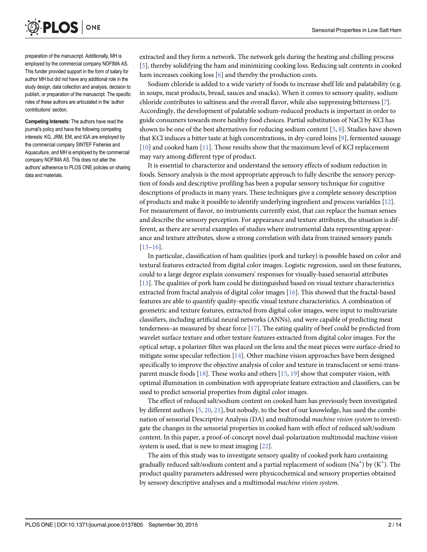<span id="page-1-0"></span>

preparation of the manuscript. Additionally, MH is employed by the commercial company NOFIMA AS. This funder provided support in the form of salary for author MH but did not have any additional role in the study design, data collection and analysis, decision to publish, or preparation of the manuscript. The specific roles of these authors are articulated in the 'author contributions' section.

Competing Interests: The authors have read the journal's policy and have the following competing interests: KG, JRM, EM, and IGA are employed by the commercial company SINTEF Fisheries and Aquaculture, and MH is employed by the commercial company NOFIMA AS. This does not alter the authors' adherence to PLOS ONE policies on sharing data and materials.

extracted and they form a network. The network gels during the heating and chilling process [\[5](#page-12-0)], thereby solidifying the ham and minimizing cooking loss. Reducing salt contents in cooked ham increases cooking loss  $[6]$  $[6]$  and thereby the production costs.

Sodium chloride is added to a wide variety of foods to increase shelf life and palatability (e.g. in soups, meat products, bread, sauces and snacks). When it comes to sensory quality, sodium chloride contributes to saltiness and the overall flavor, while also suppressing bitterness [\[7](#page-12-0)]. Accordingly, the development of palatable sodium-reduced products is important in order to guide consumers towards more healthy food choices. Partial substitution of NaCl by KCl has shown to be one of the best alternatives for reducing sodium content [\[5](#page-12-0), [8](#page-12-0)]. Studies have shown that KCl induces a bitter taste at high concentrations, in dry-cured loins [\[9\]](#page-12-0), fermented sausage [\[10](#page-12-0)] and cooked ham [\[11\]](#page-12-0). Those results show that the maximum level of KCl replacement may vary among different type of product.

It is essential to characterize and understand the sensory effects of sodium reduction in foods. Sensory analysis is the most appropriate approach to fully describe the sensory perception of foods and descriptive profiling has been a popular sensory technique for cognitive descriptions of products in many years. These techniques give a complete sensory description of products and make it possible to identify underlying ingredient and process variables [\[12\]](#page-12-0). For measurement of flavor, no instruments currently exist, that can replace the human senses and describe the sensory perception. For appearance and texture attributes, the situation is different, as there are several examples of studies where instrumental data representing appearance and texture attributes, show a strong correlation with data from trained sensory panels [\[13](#page-12-0)–[16\]](#page-12-0).

In particular, classification of ham qualities (pork and turkey) is possible based on color and textural features extracted from digital color images. Logistic regression, used on these features, could to a large degree explain consumers' responses for visually-based sensorial attributes [\[13](#page-12-0)]. The qualities of pork ham could be distinguished based on visual texture characteristics extracted from fractal analysis of digital color images [\[16\]](#page-12-0). This showed that the fractal-based features are able to quantify quality-specific visual texture characteristics. A combination of geometric and texture features, extracted from digital color images, were input to multivariate classifiers, including artificial neural networks (ANNs), and were capable of predicting meat tenderness–as measured by shear force  $[17]$ . The eating quality of beef could be predicted from wavelet surface texture and other texture features extracted from digital color images. For the optical setup, a polarizer filter was placed on the lens and the meat pieces were surface-dried to mitigate some specular reflection [\[14\]](#page-12-0). Other machine vision approaches have been designed specifically to improve the objective analysis of color and texture in transclucent or semi-transparent muscle foods  $[18]$  $[18]$  $[18]$ . These works and others  $[15, 19]$  $[15, 19]$  $[15, 19]$  $[15, 19]$  show that computer vision, with optimal illumination in combination with appropriate feature extraction and classifiers, can be used to predict sensorial properties from digital color images.

The effect of reduced salt/sodium content on cooked ham has previously been investigated by different authors  $[5, 20, 21]$  $[5, 20, 21]$  $[5, 20, 21]$  $[5, 20, 21]$  $[5, 20, 21]$  $[5, 20, 21]$ , but nobody, to the best of our knowledge, has used the combination of sensorial Descriptive Analysis (DA) and multimodal machine vision system to investigate the changes in the sensorial properties in cooked ham with effect of reduced salt/sodium content. In this paper, a proof-of-concept novel dual-polarization multimodal machine vision system is used, that is new to meat imaging [[22](#page-12-0)].

The aim of this study was to investigate sensory quality of cooked pork ham containing gradually reduced salt/sodium content and a partial replacement of sodium  $(Na^+)$  by  $(K^+)$ . The product quality parameters addressed were physicochemical and sensory properties obtained by sensory descriptive analyses and a multimodal machine vision system.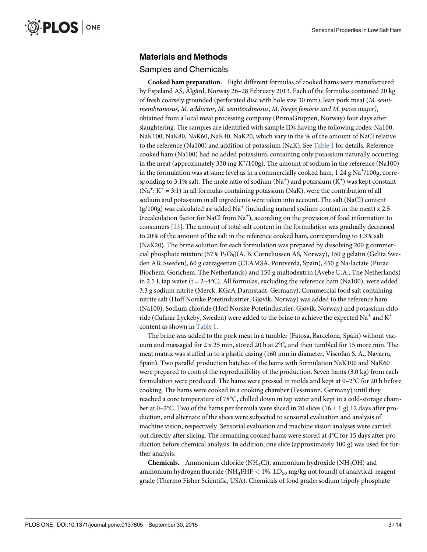### <span id="page-2-0"></span>Materials and Methods

#### Samples and Chemicals

Cooked ham preparation. Eight different formulas of cooked hams were manufactured by Espeland AS, Ålgård, Norway 26–28 February 2013. Each of the formulas contained 20 kg of fresh coarsely grounded (perforated disc with hole size 30 mm), lean pork meat (M. semimembranosus, M. adductor, M. semitendinosus, M. biceps femoris and M. psoas major), obtained from a local meat processing company (PrimaGruppen, Norway) four days after slaughtering. The samples are identified with sample IDs having the following codes: Na100, NaK100, NaK80, NaK60, NaK40, NaK20, which vary in the % of the amount of NaCl relative to the reference (Na100) and addition of potassium (NaK). See [Table 1](#page-3-0) for details. Reference cooked ham (Na100) had no added potassium, containing only potassium naturally occurring in the meat (approximately 330 mg  $K^+/100g$ ). The amount of sodium in the reference (Na100) in the formulation was at same level as in a commercially cooked ham,  $1.24$  g  $\mathrm{Na}^+\mathrm{/100g}$ , corresponding to 3.1% salt. The mole ratio of sodium  $(Na^+)$  and potassium  $(K^+)$  was kept constant  $(Na^+$ :  $K^+$  = 3:1) in all formulas containing potassium (NaK), were the contribution of all sodium and potassium in all ingredients were taken into account. The salt (NaCl) content  $(g/100g)$  was calculated as: added Na<sup>+</sup> (including natural sodium content in the meat) x 2.5 (recalculation factor for NaCl from Na<sup>+</sup>), according on the provision of food information to consumers [[23](#page-12-0)]. The amount of total salt content in the formulation was gradually decreased to 20% of the amount of the salt in the reference cooked ham, corresponding to 1.3% salt (NaK20). The brine solution for each formulation was prepared by dissolving 200 g commercial phosphate mixture (57%  $P_2O_5$ )(A. B. Corneliussen AS, Norway), 150 g gelatin (Gelita Sweden AB, Sweden), 60 g carrageenan (CEAMSA, Pontverda, Spain), 450 g Na-lactate (Purac Biochem, Gorichem, The Netherlands) and 150 g maltodextrin (Avebe U.A., The Netherlands) in 2.5 L tap water ( $t = 2-4$ °C). All formulas, excluding the reference ham (Na100), were added 3.3 g sodium nitrite (Merck, KGaA Darmstadt, Germany). Commercial food salt containing nitrite salt (Hoff Norske Potetindustrier, Gjøvik, Norway) was added to the reference ham (Na100). Sodium chloride (Hoff Norske Potetindustrier, Gjøvik, Norway) and potassium chloride (Culinar Lyckeby, Sweden) were added to the brine to achieve the expected Na<sup>+</sup> and K<sup>+</sup> content as shown in [Table 1](#page-3-0).

The brine was added to the pork meat in a tumbler (Fatosa, Barcelona, Spain) without vacuum and massaged for 2 x 25 min, stored 20 h at 2°C, and then tumbled for 15 more min. The meat matrix was stuffed in to a plastic casing (160 mm in diameter, Viscofan S. A., Navarra, Spain). Two parallel production batches of the hams with formulation NaK100 and NaK60 were prepared to control the reproducibility of the production. Seven hams (3.0 kg) from each formulation were produced. The hams were pressed in molds and kept at 0–2°C for 20 h before cooking. The hams were cooked in a cooking chamber (Fessmann, Germany) until they reached a core temperature of 78°C, chilled down in tap water and kept in a cold-storage chamber at 0–2°C. Two of the hams per formula were sliced in 20 slices (16  $\pm$  1 g) 12 days after production, and alternate of the slices were subjected to sensorial evaluation and analysis of machine vision, respectively. Sensorial evaluation and machine vision analyses were carried out directly after slicing. The remaining cooked hams were stored at 4°C for 15 days after production before chemical analysis. In addition, one slice (approximately 100 g) was used for further analysis.

**Chemicals.** Ammonium chloride (NH<sub>4</sub>Cl), ammonium hydroxide (NH<sub>4</sub>OH) and ammonium hydrogen fluoride (NH<sub>4</sub>FHF  $< 1\%$ , LD<sub>50</sub> mg/kg not found) of analytical-reagent grade (Thermo Fisher Scientific, USA). Chemicals of food grade: sodium tripoly phosphate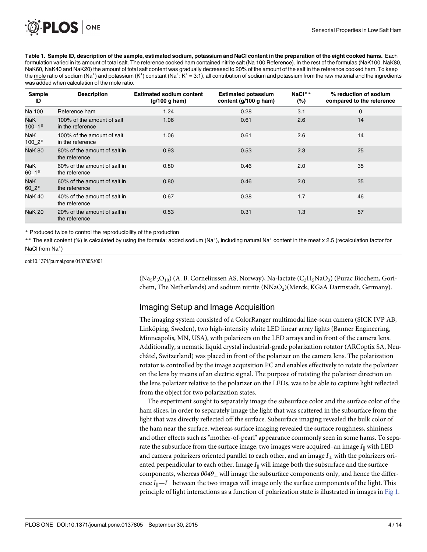<span id="page-3-0"></span>PLOS ONE

[Table 1.](#page-2-0) Sample ID, description of the sample, estimated sodium, potassium and NaCl content in the preparation of the eight cooked hams. Each formulation varied in its amount of total salt. The reference cooked ham contained nitrite salt (Na 100 Reference). In the rest of the formulas (NaK100, NaK80, NaK60, NaK40 and NaK20) the amount of total salt content was gradually decreased to 20% of the amount of the salt in the reference cooked ham. To keep the mole ratio of sodium (Na<sup>+</sup>) and potassium (K<sup>+</sup>) constant (Na<sup>+</sup>: K<sup>+</sup> = 3:1), all contribution of sodium and potassium from the raw material and the ingredients was added when calculation of the mole ratio.

| <b>Sample</b><br>ID | <b>Description</b>                             | <b>Estimated sodium content</b><br>(g/100 g ham) | <b>Estimated potassium</b><br>content (g/100 g ham) | NaCl**<br>$(\%)$ | % reduction of sodium<br>compared to the reference |
|---------------------|------------------------------------------------|--------------------------------------------------|-----------------------------------------------------|------------------|----------------------------------------------------|
| Na 100              | Reference ham                                  | 1.24                                             | 0.28                                                | 3.1              | $\mathbf 0$                                        |
| NaK<br>$100 - 1*$   | 100% of the amount of salt<br>in the reference | 1.06                                             | 0.61                                                | 2.6              | 14                                                 |
| NaK<br>$100 - 2*$   | 100% of the amount of salt<br>in the reference | 1.06                                             | 0.61                                                | 2.6              | 14                                                 |
| <b>NaK 80</b>       | 80% of the amount of salt in<br>the reference  | 0.93                                             | 0.53                                                | 2.3              | 25                                                 |
| NaK<br>60 1*        | 60% of the amount of salt in<br>the reference  | 0.80                                             | 0.46                                                | 2.0              | 35                                                 |
| NaK<br>$60\_2*$     | 60% of the amount of salt in<br>the reference  | 0.80                                             | 0.46                                                | 2.0              | 35                                                 |
| NaK 40              | 40% of the amount of salt in<br>the reference  | 0.67                                             | 0.38                                                | 1.7              | 46                                                 |
| NaK 20              | 20% of the amount of salt in<br>the reference  | 0.53                                             | 0.31                                                | 1.3              | 57                                                 |

\* Produced twice to control the reproducibility of the production

\*\* The salt content (%) is calculated by using the formula: added sodium (Na<sup>+</sup>), including natural Na<sup>+</sup> content in the meat x 2.5 (recalculation factor for NaCl from Na<sup>+</sup>)

doi:10.1371/journal.pone.0137805.t001

 $(Na_5P_3O_{10})$  (A. B. Corneliussen AS, Norway), Na-lactate ( $C_3H_5NaO_3$ ) (Purac Biochem, Gorichem, The Netherlands) and sodium nitrite (NNaO<sub>2</sub>)(Merck, KGaA Darmstadt, Germany).

## Imaging Setup and Image Acquisition

The imaging system consisted of a ColorRanger multimodal line-scan camera (SICK IVP AB, Linköping, Sweden), two high-intensity white LED linear array lights (Banner Engineering, Minneapolis, MN, USA), with polarizers on the LED arrays and in front of the camera lens. Additionally, a nematic liquid crystal industrial-grade polarization rotator (ARCoptix SA, Neuchâtel, Switzerland) was placed in front of the polarizer on the camera lens. The polarization rotator is controlled by the image acquisition PC and enables effectively to rotate the polarizer on the lens by means of an electric signal. The purpose of rotating the polarizer direction on the lens polarizer relative to the polarizer on the LEDs, was to be able to capture light reflected from the object for two polarization states.

The experiment sought to separately image the subsurface color and the surface color of the ham slices, in order to separately image the light that was scattered in the subsurface from the light that was directly reflected off the surface. Subsurface imaging revealed the bulk color of the ham near the surface, whereas surface imaging revealed the surface roughness, shininess and other effects such as "mother-of-pearl" appearance commonly seen in some hams. To separate the subsurface from the surface image, two images were acquired–an image  $I_{\parallel}$  with LED and camera polarizers oriented parallel to each other, and an image  $I_{\perp}$  with the polarizers oriented perpendicular to each other. Image  $I_{\parallel}$  will image both the subsurface and the surface components, whereas  $0049<sub>\perp</sub>$  will image the subsurface components only, and hence the difference  $I_{\parallel}$ — $I_{\perp}$  between the two images will image only the surface components of the light. This principle of light interactions as a function of polarization state is illustrated in images in [Fig 1](#page-4-0).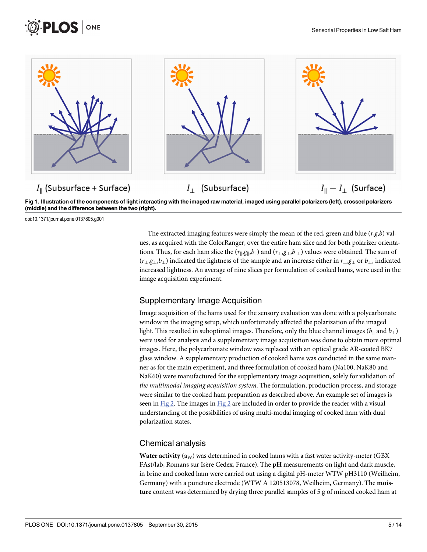<span id="page-4-0"></span>



[Fig 1. I](#page-3-0)llustration of the components of light interacting with the imaged raw material, imaged using parallel polarizers (left), crossed polarizers (middle) and the difference between the two (right).

doi:10.1371/journal.pone.0137805.g001

The extracted imaging features were simply the mean of the red, green and blue  $(r,g,b)$  values, as acquired with the ColorRanger, over the entire ham slice and for both polarizer orientations. Thus, for each ham slice the  $(r_{\parallel},g_{\parallel},b_{\parallel})$  and  $(r_{\perp},g_{\perp},b_{\perp})$  values were obtained. The sum of  $(r_{\perp},g_{\perp},b_{\perp})$  indicated the lightness of the sample and an increase either in  $r_{\perp},g_{\perp}$  or  $b_{\perp}$ , indicated increased lightness. An average of nine slices per formulation of cooked hams, were used in the image acquisition experiment.

### Supplementary Image Acquisition

Image acquisition of the hams used for the sensory evaluation was done with a polycarbonate window in the imaging setup, which unfortunately affected the polarization of the imaged light. This resulted in suboptimal images. Therefore, only the blue channel images ( $b_{\parallel}$  and  $b_{\perp}$ ) were used for analysis and a supplementary image acquisition was done to obtain more optimal images. Here, the polycarbonate window was replaced with an optical grade AR-coated BK7 glass window. A supplementary production of cooked hams was conducted in the same manner as for the main experiment, and three formulation of cooked ham (Na100, NaK80 and NaK60) were manufactured for the supplementary image acquisition, solely for validation of the multimodal imaging acquisition system. The formulation, production process, and storage were similar to the cooked ham preparation as described above. An example set of images is seen in [Fig 2](#page-5-0). The images in Fig 2 are included in order to provide the reader with a visual understanding of the possibilities of using multi-modal imaging of cooked ham with dual polarization states.

### Chemical analysis

Water activity ( $a_W$ ) was determined in cooked hams with a fast water activity-meter (GBX FAst/lab, Romans sur Isère Cedex, France). The pH measurements on light and dark muscle, in brine and cooked ham were carried out using a digital pH-meter WTW pH3110 (Weilheim, Germany) with a puncture electrode (WTW A 120513078, Weilheim, Germany). The moisture content was determined by drying three parallel samples of 5 g of minced cooked ham at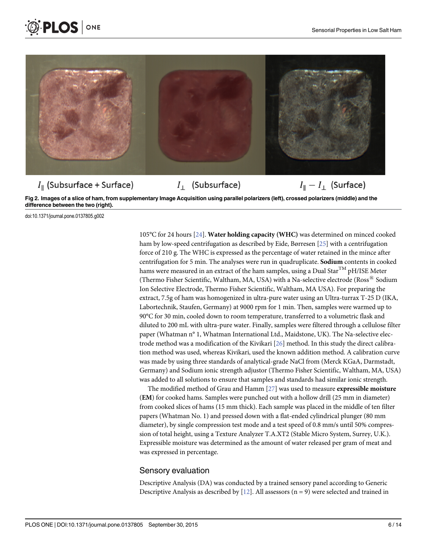<span id="page-5-0"></span>



[Fig 2. I](#page-4-0)mages of a slice of ham, from supplementary Image Acquisition using parallel polarizers (left), crossed polarizers (middle) and the difference between the two (right).

doi:10.1371/journal.pone.0137805.g002

105°C for 24 hours [[24](#page-12-0)]. Water holding capacity (WHC) was determined on minced cooked ham by low-speed centrifugation as described by Eide, Børresen [\[25\]](#page-12-0) with a centrifugation force of 210 g. The WHC is expressed as the percentage of water retained in the mince after centrifugation for 5 min. The analyses were run in quadruplicate. Sodium contents in cooked hams were measured in an extract of the ham samples, using a Dual Star<sup>TM</sup> pH/ISE Meter (Thermo Fisher Scientific, Waltham, MA, USA) with a Na-selective electrode (Ross $^{\circledR}$  Sodium Ion Selective Electrode, Thermo Fisher Scientific, Waltham, MA USA). For preparing the extract, 7.5g of ham was homogenized in ultra-pure water using an Ultra-turrax T-25 D (IKA, Labortechnik, Staufen, Germany) at 9000 rpm for 1 min. Then, samples were warmed up to 90°C for 30 min, cooled down to room temperature, transferred to a volumetric flask and diluted to 200 mL with ultra-pure water. Finally, samples were filtered through a cellulose filter paper (Whatman n° 1, Whatman International Ltd., Maidstone, UK). The Na-selective electrode method was a modification of the Kivikari [[26](#page-12-0)] method. In this study the direct calibration method was used, whereas Kivikari, used the known addition method. A calibration curve was made by using three standards of analytical-grade NaCl from (Merck KGaA, Darmstadt, Germany) and Sodium ionic strength adjustor (Thermo Fisher Scientific, Waltham, MA, USA) was added to all solutions to ensure that samples and standards had similar ionic strength.

The modified method of Grau and Hamm [[27](#page-13-0)] was used to measure expressible moisture (EM) for cooked hams. Samples were punched out with a hollow drill (25 mm in diameter) from cooked slices of hams (15 mm thick). Each sample was placed in the middle of ten filter papers (Whatman No. 1) and pressed down with a flat-ended cylindrical plunger (80 mm diameter), by single compression test mode and a test speed of 0.8 mm/s until 50% compression of total height, using a Texture Analyzer T.A.XT2 (Stable Micro System, Surrey, U.K.). Expressible moisture was determined as the amount of water released per gram of meat and was expressed in percentage.

#### Sensory evaluation

Descriptive Analysis (DA) was conducted by a trained sensory panel according to Generic Descriptive Analysis as described by  $[12]$  $[12]$  $[12]$ . All assessors (n = 9) were selected and trained in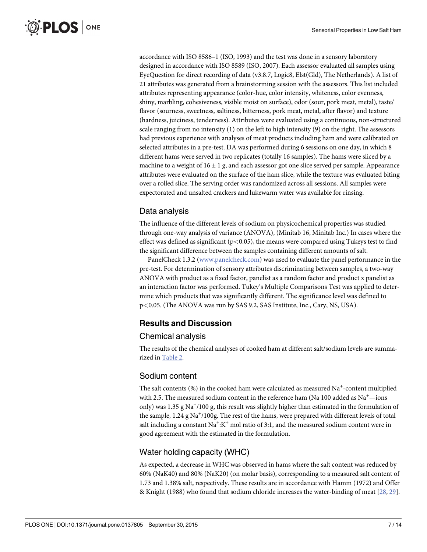<span id="page-6-0"></span>accordance with ISO 8586–1 (ISO, 1993) and the test was done in a sensory laboratory designed in accordance with ISO 8589 (ISO, 2007). Each assessor evaluated all samples using EyeQuestion for direct recording of data (v3.8.7, Logic8, Elst(Gld), The Netherlands). A list of 21 attributes was generated from a brainstorming session with the assessors. This list included attributes representing appearance (color-hue, color intensity, whiteness, color evenness, shiny, marbling, cohesiveness, visible moist on surface), odor (sour, pork meat, metal), taste/ flavor (sourness, sweetness, saltiness, bitterness, pork meat, metal, after flavor) and texture (hardness, juiciness, tenderness). Attributes were evaluated using a continuous, non-structured scale ranging from no intensity (1) on the left to high intensity (9) on the right. The assessors had previous experience with analyses of meat products including ham and were calibrated on selected attributes in a pre-test. DA was performed during 6 sessions on one day, in which 8 different hams were served in two replicates (totally 16 samples). The hams were sliced by a machine to a weight of  $16 \pm 1$  g, and each assessor got one slice served per sample. Appearance attributes were evaluated on the surface of the ham slice, while the texture was evaluated biting over a rolled slice. The serving order was randomized across all sessions. All samples were expectorated and unsalted crackers and lukewarm water was available for rinsing.

## Data analysis

The influence of the different levels of sodium on physicochemical properties was studied through one-way analysis of variance (ANOVA), (Minitab 16, Minitab Inc.) In cases where the effect was defined as significant ( $p$ <0.05), the means were compared using Tukeys test to find the significant difference between the samples containing different amounts of salt.

PanelCheck 1.3.2 ([www.panelcheck.com](http://www.panelcheck.com/)) was used to evaluate the panel performance in the pre-test. For determination of sensory attributes discriminating between samples, a two-way ANOVA with product as a fixed factor, panelist as a random factor and product x panelist as an interaction factor was performed. Tukey's Multiple Comparisons Test was applied to determine which products that was significantly different. The significance level was defined to p<0.05. (The ANOVA was run by SAS 9.2, SAS Institute, Inc., Cary, NS, USA).

## Results and Discussion

### Chemical analysis

The results of the chemical analyses of cooked ham at different salt/sodium levels are summarized in [Table 2](#page-7-0).

## Sodium content

The salt contents (%) in the cooked ham were calculated as measured  $\mathrm{Na}^+$ -content multiplied with 2.5. The measured sodium content in the reference ham (Na 100 added as  $\mathrm{Na}^{+}$ —ions only) was 1.35 g Na<sup>+</sup>/100 g, this result was slightly higher than estimated in the formulation of the sample, 1.24 g Na<sup>+</sup>/100g. The rest of the hams, were prepared with different levels of total salt including a constant  $\mathrm{Na^+:}K^+$  mol ratio of 3:1, and the measured sodium content were in good agreement with the estimated in the formulation.

## Water holding capacity (WHC)

As expected, a decrease in WHC was observed in hams where the salt content was reduced by 60% (NaK40) and 80% (NaK20) (on molar basis), corresponding to a measured salt content of 1.73 and 1.38% salt, respectively. These results are in accordance with Hamm (1972) and Offer & Knight (1988) who found that sodium chloride increases the water-binding of meat [\[28,](#page-13-0) [29\]](#page-13-0).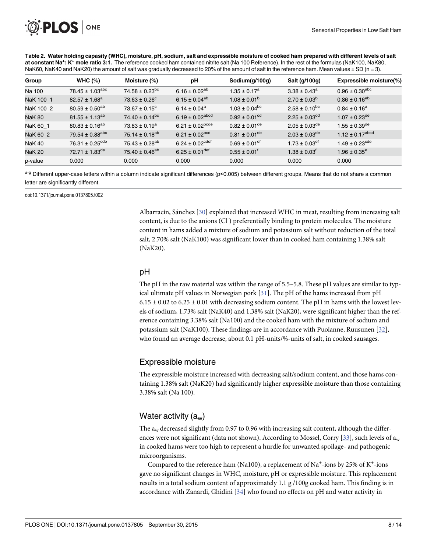<span id="page-7-0"></span>

[Table 2.](#page-6-0) Water holding capasity (WHC), moisture, pH, sodium, salt and expressible moisture of cooked ham prepared with different levels of salt at constant Na<sup>+</sup>: K<sup>+</sup> mole ratio 3:1. The reference cooked ham contained nitrite salt (Na 100 Reference). In the rest of the formulas (NaK100, NaK80, NaK60, NaK40 and NaK20) the amount of salt was gradually decreased to 20% of the amount of salt in the reference ham. Mean values ± SD (n = 3).

| Group         | WHC $(\%)$                      | Moisture (%)                   | рH                              | Sodium(g/100g)                | Salt (g/100g)                 | Expressible moisture(%)        |
|---------------|---------------------------------|--------------------------------|---------------------------------|-------------------------------|-------------------------------|--------------------------------|
| Na 100        | $78.45 \pm 1.03$ <sup>abc</sup> | $74.58 \pm 0.23$ <sup>bc</sup> | 6.16 ± 0.02 <sup>ab</sup>       | $1.35 \pm 0.17^a$             | $3.38 \pm 0.43^a$             | $0.96 \pm 0.30^{\text{abc}}$   |
| NaK 100 1     | $82.57 \pm 1.68^a$              | $73.63 \pm 0.26^{\circ}$       | $6.15 \pm 0.04^{ab}$            | $1.08 \pm 0.01^{b}$           | $2.70 \pm 0.03^b$             | $0.86 \pm 0.16^{ab}$           |
| NaK 100 2     | $80.59 \pm 0.50^{ab}$           | $73.67 \pm 0.15$ <sup>c</sup>  | 6.14 ± $0.04^a$                 | $1.03 \pm 0.04^{bc}$          | $2.58 \pm 0.10^{bc}$          | $0.84 \pm 0.16^a$              |
| <b>NaK 80</b> | $81.55 \pm 1.13^{ab}$           | 74.40 ± $0.14^{bc}$            | 6.19 ± 0.02 <sup>abcd</sup>     | $0.92 \pm 0.01^{cd}$          | $2.25 \pm 0.03$ <sup>cd</sup> | $1.07 \pm 0.23$ <sup>de</sup>  |
| NaK 60 1      | $80.83 \pm 0.16^{ab}$           | 73.83 ± $0.19^a$               | $6.21 \pm 0.02^{bcde}$          | $0.82 \pm 0.01$ <sup>de</sup> | $2.05 \pm 0.03$ <sup>de</sup> | $1.55 \pm 0.39$ <sup>de</sup>  |
| NaK 60 2      | $79.54 \pm 0.88$ <sup>abc</sup> | 75.14 $\pm$ 0.18 <sup>ab</sup> | 6.21 ± $0.02^{bcd}$             | $0.81 \pm 0.01^{\text{de}}$   | $2.03 \pm 0.03^{\text{de}}$   | $1.12 \pm 0.17^{abcd}$         |
| <b>NaK 40</b> | 76.31 $\pm$ 0.25 <sup>cde</sup> | $75.43 \pm 0.28^{ab}$          | 6.24 $\pm$ 0.02 <sup>cdef</sup> | $0.69 \pm 0.01$ <sup>ef</sup> | $1.73 \pm 0.03$ <sup>ef</sup> | $1.49 \pm 0.23$ <sup>cde</sup> |
| <b>NaK 20</b> | 72.71 $\pm$ 1.83 <sup>de</sup>  | 75.40 ± 0.46 <sup>ab</sup>     | $6.25 \pm 0.01^{\text{def}}$    | $0.55 \pm 0.01$ <sup>t</sup>  | $1.38 \pm 0.03^{\dagger}$     | $1.96 \pm 0.35^{\circ}$        |
| p-value       | 0.000                           | 0.000                          | 0.000                           | 0.000                         | 0.000                         | 0.000                          |

a-g Different upper-case letters within a column indicate significant differences (p<0.005) between different groups. Means that do not share a common letter are significantly different.

doi:10.1371/journal.pone.0137805.t002

Albarracín, Sánchez [[30\]](#page-13-0) explained that increased WHC in meat, resulting from increasing salt content, is due to the anions (Cl<sup>-</sup>) preferentially binding to protein molecules. The moisture content in hams added a mixture of sodium and potassium salt without reduction of the total salt, 2.70% salt (NaK100) was significant lower than in cooked ham containing 1.38% salt (NaK20).

## pH

The pH in the raw material was within the range of 5.5–5.8. These pH values are similar to typical ultimate pH values in Norwegian pork  $[31]$  $[31]$  $[31]$ . The pH of the hams increased from pH  $6.15 \pm 0.02$  to  $6.25 \pm 0.01$  with decreasing sodium content. The pH in hams with the lowest levels of sodium, 1.73% salt (NaK40) and 1.38% salt (NaK20), were significant higher than the reference containing 3.38% salt (Na100) and the cooked ham with the mixture of sodium and potassium salt (NaK100). These findings are in accordance with Puolanne, Ruusunen [[32\]](#page-13-0), who found an average decrease, about 0.1 pH-units/%-units of salt, in cooked sausages.

### Expressible moisture

The expressible moisture increased with decreasing salt/sodium content, and those hams containing 1.38% salt (NaK20) had significantly higher expressible moisture than those containing 3.38% salt (Na 100).

## Water activity  $(a_w)$

The  $a_w$  decreased slightly from 0.97 to 0.96 with increasing salt content, although the differ-ences were not significant (data not shown). According to Mossel, Corry [[33](#page-13-0)], such levels of  $a_w$ in cooked hams were too high to represent a hurdle for unwanted spoilage- and pathogenic microorganisms.

Compared to the reference ham (Na100), a replacement of Na<sup>+</sup>-ions by 25% of K<sup>+</sup>-ions gave no significant changes in WHC, moisture, pH or expressible moisture. This replacement results in a total sodium content of approximately 1.1 g /100g cooked ham. This finding is in accordance with Zanardi, Ghidini  $[34]$  who found no effects on pH and water activity in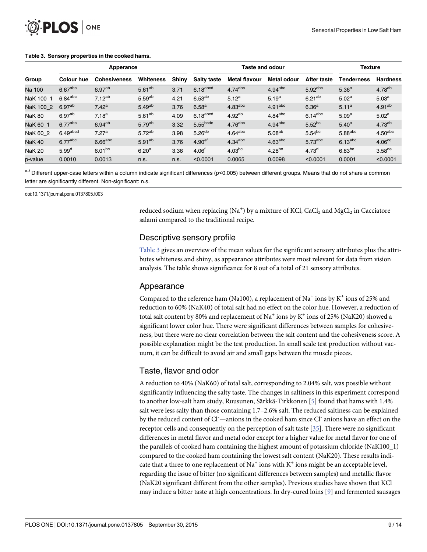#### <span id="page-8-0"></span>Table 3. Sensory properties in the cooked hams.

|               | Apperance             |                     |                    | <b>Taste and odour</b> |                      |                       |                       | <b>Texture</b>        |                       |                      |
|---------------|-----------------------|---------------------|--------------------|------------------------|----------------------|-----------------------|-----------------------|-----------------------|-----------------------|----------------------|
| Group         | Colour hue            | <b>Cohesiveness</b> | <b>Whiteness</b>   | Shiny                  | <b>Salty taste</b>   | <b>Metal flavour</b>  | Metal odour           | After taste           | <b>Tenderness</b>     | <b>Hardness</b>      |
| Na 100        | $6.67$ abc            | 6.97 <sup>ab</sup>  | $5.61^{ab}$        | 3.71                   | $6.18$ abcd          | $4.74$ <sup>abc</sup> | $4.94$ <sup>abc</sup> | $5.92$ abc            | 5.36 <sup>a</sup>     | $4.78^{ab}$          |
| NaK 100 1     | $6.84$ <sup>abc</sup> | $7.12^{ab}$         | 5.59 <sup>ab</sup> | 4.21                   | $6.53^{ab}$          | $5.12^{a}$            | $5.19^{a}$            | $6.21^{ab}$           | $5.02^{\rm a}$        | 5.03 <sup>a</sup>    |
| NaK 100 2     | $6.97^{ab}$           | 7.42 <sup>a</sup>   | $5.49^{ab}$        | 3.76                   | 6.58 <sup>a</sup>    | 4.83 <sup>abc</sup>   | 4.91 <sup>abc</sup>   | 6.36 <sup>a</sup>     | $5.11^{a}$            | $4.91^{ab}$          |
| <b>NaK 80</b> | 6.97 <sup>ab</sup>    | 7.18 <sup>a</sup>   | $5.61^{ab}$        | 4.09                   | $6.18$ abcd          | $4.92^{ab}$           | $4.84$ <sup>abc</sup> | $6.14$ <sup>abc</sup> | 5.09 <sup>a</sup>     | 5.02 <sup>a</sup>    |
| NaK 60 1      | $6.77$ <sup>abc</sup> | $6.94^{ab}$         | $5.79^{ab}$        | 3.32                   | 5.55 <sup>bcde</sup> | $4.76$ <sup>abc</sup> | $4.94$ <sup>abc</sup> | $5.52^{bc}$           | $5.40^{a}$            | $4.73^{ab}$          |
| NaK 60 2      | $6.49$ abcd           | 7.27 <sup>a</sup>   | 5.72 <sup>ab</sup> | 3.98                   | $5.26$ <sup>de</sup> | $4.64$ <sup>abc</sup> | 5.08 <sup>ab</sup>    | $5.54^{bc}$           | $5.88$ abc            | 4.50 <sup>abc</sup>  |
| <b>NaK 40</b> | $6.77$ abc            | $6.66$ abc          | $5.91^{ab}$        | 3.76                   | 4.90 <sup>ef</sup>   | $4.34$ <sup>abc</sup> | $4.63$ <sup>abc</sup> | $5.73$ abc            | $6.13$ <sup>abc</sup> | 4.06 <sup>cd</sup>   |
| <b>NaK 20</b> | 5.99 <sup>d</sup>     | $6.01^{bc}$         | 6.20 <sup>a</sup>  | 3.36                   | 4.06 <sup>t</sup>    | $4.03^{bc}$           | $4.28^{bc}$           | 4.73 <sup>d</sup>     | $6.83$ <sup>bc</sup>  | $3.58$ <sup>de</sup> |
| p-value       | 0.0010                | 0.0013              | n.s.               | n.s.                   | < 0.0001             | 0.0065                | 0.0098                | < 0.0001              | 0.0001                | < 0.0001             |

a-f Different upper-case letters within a column indicate significant differences (p<0.005) between different groups. Means that do not share a common letter are significantly different. Non-significant: n.s.

doi:10.1371/journal.pone.0137805.t003

reduced sodium when replacing (Na<sup>+</sup>) by a mixture of KCl, CaCl<sub>2</sub> and MgCl<sub>2</sub> in Cacciatore salami compared to the traditional recipe.

#### Descriptive sensory profile

Table 3 gives an overview of the mean values for the significant sensory attributes plus the attributes whiteness and shiny, as appearance attributes were most relevant for data from vision analysis. The table shows significance for 8 out of a total of 21 sensory attributes.

#### Appearance

Compared to the reference ham (Na100), a replacement of Na<sup>+</sup> ions by K<sup>+</sup> ions of 25% and reduction to 60% (NaK40) of total salt had no effect on the color hue. However, a reduction of total salt content by 80% and replacement of  $Na<sup>+</sup>$  ions by K<sup>+</sup> ions of 25% (NaK20) showed a significant lower color hue. There were significant differences between samples for cohesiveness, but there were no clear correlation between the salt content and the cohesiveness score. A possible explanation might be the test production. In small scale test production without vacuum, it can be difficult to avoid air and small gaps between the muscle pieces.

### Taste, flavor and odor

A reduction to 40% (NaK60) of total salt, corresponding to 2.04% salt, was possible without significantly influencing the salty taste. The changes in saltiness in this experiment correspond to another low-salt ham study, Ruusunen, Särkkä-Tirkkonen [\[5](#page-12-0)] found that hams with 1.4% salt were less salty than those containing 1.7–2.6% salt. The reduced saltiness can be explained by the reduced content of Cl<sup>-</sup>-anions in the cooked ham since Cl<sup>-</sup> anions have an effect on the receptor cells and consequently on the perception of salt taste [\[35\]](#page-13-0). There were no significant differences in metal flavor and metal odor except for a higher value for metal flavor for one of the parallels of cooked ham containing the highest amount of potassium chloride (NaK100\_1) compared to the cooked ham containing the lowest salt content (NaK20). These results indicate that a three to one replacement of  $Na^+$  ions with  $K^+$  ions might be an acceptable level, regarding the issue of bitter (no significant differences between samples) and metallic flavor (NaK20 significant different from the other samples). Previous studies have shown that KCl may induce a bitter taste at high concentrations. In dry-cured loins  $[9]$  $[9]$  $[9]$  and fermented sausages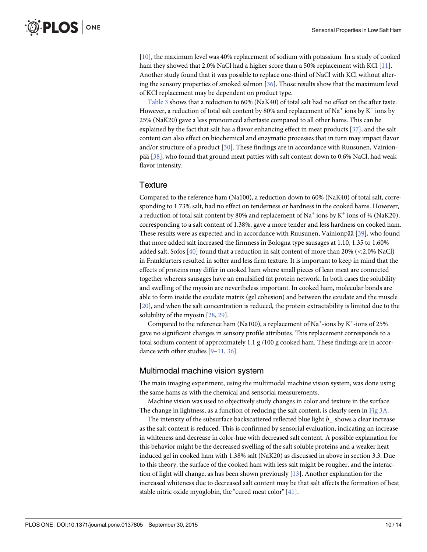<span id="page-9-0"></span>[\[10](#page-12-0)], the maximum level was 40% replacement of sodium with potassium. In a study of cooked ham they showed that 2.0% NaCl had a higher score than a 50% replacement with KCl  $[11]$ . Another study found that it was possible to replace one-third of NaCl with KCl without altering the sensory properties of smoked salmon [[36](#page-13-0)]. Those results show that the maximum level of KCl replacement may be dependent on product type.

[Table 3](#page-8-0) shows that a reduction to 60% (NaK40) of total salt had no effect on the after taste. However, a reduction of total salt content by 80% and replacement of Na<sup>+</sup> ions by K<sup>+</sup> ions by 25% (NaK20) gave a less pronounced aftertaste compared to all other hams. This can be explained by the fact that salt has a flavor enhancing effect in meat products  $[37]$  $[37]$ , and the salt content can also effect on biochemical and enzymatic processes that in turn may impact flavor and/or structure of a product [[30](#page-13-0)]. These findings are in accordance with Ruusunen, Vainionpää [[38](#page-13-0)], who found that ground meat patties with salt content down to 0.6% NaCl, had weak flavor intensity.

### **Texture**

Compared to the reference ham (Na100), a reduction down to 60% (NaK40) of total salt, corresponding to 1.73% salt, had no effect on tenderness or hardness in the cooked hams. However, a reduction of total salt content by 80% and replacement of Na<sup>+</sup> ions by K<sup>+</sup> ions of  $\frac{1}{4}$  (NaK20), corresponding to a salt content of 1.38%, gave a more tender and less hardness on cooked ham. These results were as expected and in accordance with Ruusunen, Vainionpää [\[39\]](#page-13-0), who found that more added salt increased the firmness in Bologna type sausages at 1.10, 1.35 to 1.60% added salt, Sofos [\[40\]](#page-13-0) found that a reduction in salt content of more than 20% (<2.0% NaCl) in Frankfurters resulted in softer and less firm texture. It is important to keep in mind that the effects of proteins may differ in cooked ham where small pieces of lean meat are connected together whereas sausages have an emulsified fat protein network. In both cases the solubility and swelling of the myosin are nevertheless important. In cooked ham, molecular bonds are able to form inside the exudate matrix (gel cohesion) and between the exudate and the muscle [\[20](#page-12-0)], and when the salt concentration is reduced, the protein extractability is limited due to the solubility of the myosin [[28](#page-13-0), [29](#page-13-0)].

Compared to the reference ham (Na100), a replacement of Na<sup>+</sup>-ions by K<sup>+</sup>-ions of 25% gave no significant changes in sensory profile attributes. This replacement corresponds to a total sodium content of approximately 1.1 g /100 g cooked ham. These findings are in accordance with other studies [[9](#page-12-0)–[11,](#page-12-0) [36\]](#page-13-0).

## Multimodal machine vision system

The main imaging experiment, using the multimodal machine vision system, was done using the same hams as with the chemical and sensorial measurements.

Machine vision was used to objectively study changes in color and texture in the surface. The change in lightness, as a function of reducing the salt content, is clearly seen in [Fig 3A.](#page-11-0)

The intensity of the subsurface backscattered reflected blue light  $b_{\perp}$  shows a clear increase as the salt content is reduced. This is confirmed by sensorial evaluation, indicating an increase in whiteness and decrease in color-hue with decreased salt content. A possible explanation for this behavior might be the decreased swelling of the salt soluble proteins and a weaker heat induced gel in cooked ham with 1.38% salt (NaK20) as discussed in above in section 3.3. Due to this theory, the surface of the cooked ham with less salt might be rougher, and the interaction of light will change, as has been shown previously  $[13]$  $[13]$  $[13]$ . Another explanation for the increased whiteness due to decreased salt content may be that salt affects the formation of heat stable nitric oxide myoglobin, the "cured meat color" [\[41\]](#page-13-0).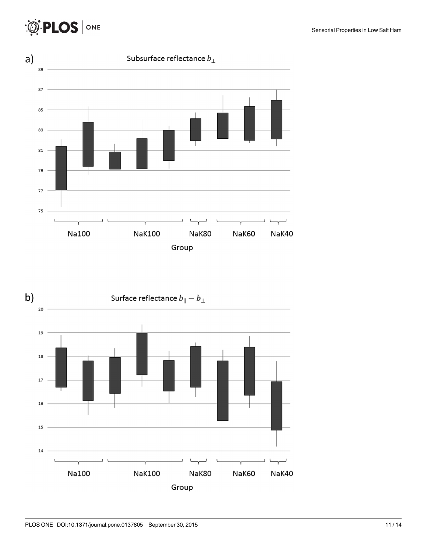#### Sensorial Properties in Low Salt Ham



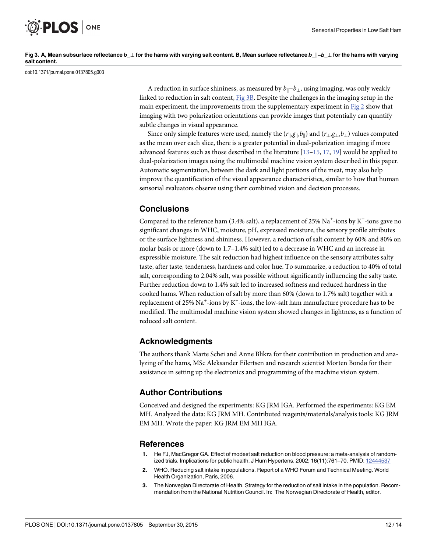<span id="page-11-0"></span>

#### [Fig 3. A](#page-9-0), Mean subsurface reflectance  $b_\perp$  for the hams with varying salt content. B, Mean surface reflectance  $b_\perp b_\perp$  for the hams with varying salt content.

doi:10.1371/journal.pone.0137805.g003

A reduction in surface shininess, as measured by  $b_{\parallel}-b_{\perp}$ , using imaging, was only weakly linked to reduction in salt content, Fig 3B. Despite the challenges in the imaging setup in the main experiment, the improvements from the supplementary experiment in  $Fig 2$  show that imaging with two polarization orientations can provide images that potentially can quantify subtle changes in visual appearance.

Since only simple features were used, namely the  $(r_{\parallel},g_{\parallel},b_{\parallel})$  and  $(r_{\perp},g_{\perp},b_{\perp})$  values computed as the mean over each slice, there is a greater potential in dual-polarization imaging if more advanced features such as those described in the literature  $[13-15, 17, 19]$  $[13-15, 17, 19]$  $[13-15, 17, 19]$  $[13-15, 17, 19]$  $[13-15, 17, 19]$  $[13-15, 17, 19]$  $[13-15, 17, 19]$  would be applied to dual-polarization images using the multimodal machine vision system described in this paper. Automatic segmentation, between the dark and light portions of the meat, may also help improve the quantification of the visual appearance characteristics, similar to how that human sensorial evaluators observe using their combined vision and decision processes.

## **Conclusions**

Compared to the reference ham (3.4% salt), a replacement of 25%  $\mathrm{Na}^+$ -ions by K<sup>+</sup>-ions gave no significant changes in WHC, moisture, pH, expressed moisture, the sensory profile attributes or the surface lightness and shininess. However, a reduction of salt content by 60% and 80% on molar basis or more (down to 1.7–1.4% salt) led to a decrease in WHC and an increase in expressible moisture. The salt reduction had highest influence on the sensory attributes salty taste, after taste, tenderness, hardness and color hue. To summarize, a reduction to 40% of total salt, corresponding to 2.04% salt, was possible without significantly influencing the salty taste. Further reduction down to 1.4% salt led to increased softness and reduced hardness in the cooked hams. When reduction of salt by more than 60% (down to 1.7% salt) together with a replacement of 25%  $\mathrm{Na}^+$ -ions by  $\mathrm{K}^+$ -ions, the low-salt ham manufacture procedure has to be modified. The multimodal machine vision system showed changes in lightness, as a function of reduced salt content.

## Acknowledgments

The authors thank Marte Schei and Anne Blikra for their contribution in production and analyzing of the hams, MSc Aleksander Eilertsen and research scientist Morten Bondø for their assistance in setting up the electronics and programming of the machine vision system.

### Author Contributions

Conceived and designed the experiments: KG JRM IGA. Performed the experiments: KG EM MH. Analyzed the data: KG JRM MH. Contributed reagents/materials/analysis tools: KG JRM EM MH. Wrote the paper: KG JRM EM MH IGA.

#### **References**

- [1.](#page-0-0) He FJ, MacGregor GA. Effect of modest salt reduction on blood pressure: a meta-analysis of randomized trials. Implications for public health. J Hum Hypertens. 2002; 16(11):761–70. PMID: [12444537](http://www.ncbi.nlm.nih.gov/pubmed/12444537)
- [2.](#page-0-0) WHO. Reducing salt intake in populations. Report of a WHO Forum and Technical Meeting. World Health Organization, Paris, 2006.
- 3. The Norwegian Directorate of Health. Strategy for the reduction of salt intake in the population. Recommendation from the National Nutrition Council. In: The Norwegian Directorate of Health, editor.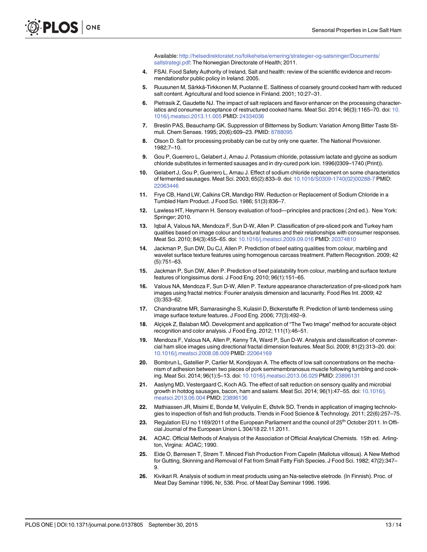Available: [http://helsedirektoratet.no/folkehelse/ernering/strategier-og-satsninger/Documents/](http://helsedirektoratet.no/folkehelse/ernering/strategier-og-satsninger/Documents/saltstrategi.pdf) [saltstrategi.pdf](http://helsedirektoratet.no/folkehelse/ernering/strategier-og-satsninger/Documents/saltstrategi.pdf). The Norwegian Directorate of Health; 2011.

- <span id="page-12-0"></span>[4.](#page-0-0) FSAI. Food Safety Authority of Ireland, Salt and health: review of the scientific evidence and recommendationsfor public policy in Ireland. 2005.
- [5.](#page-1-0) Ruusunen M, Särkkä-Tirkkonen M, Puolanne E. Saltiness of coarsely ground cooked ham with reduced salt content. Agricultural and food science in Finland. 2001; 10:27–31.
- [6.](#page-1-0) Pietrasik Z, Gaudette NJ. The impact of salt replacers and flavor enhancer on the processing characteristics and consumer acceptance of restructured cooked hams. Meat Sci. 2014; 96(3):1165–70. doi: [10.](http://dx.doi.org/10.1016/j.meatsci.2013.11.005) [1016/j.meatsci.2013.11.005](http://dx.doi.org/10.1016/j.meatsci.2013.11.005) PMID: [24334036](http://www.ncbi.nlm.nih.gov/pubmed/24334036)
- [7.](#page-1-0) Breslin PAS, Beauchamp GK. Suppression of Bitterness by Sodium: Variation Among Bitter Taste Stimuli. Chem Senses. 1995; 20(6):609–23. PMID: [8788095](http://www.ncbi.nlm.nih.gov/pubmed/8788095)
- [8.](#page-1-0) Olson D. Salt for processing probably can be cut by only one quarter. The National Provisioner. 1982;7–10.
- [9.](#page-1-0) Gou P, Guerrero L, Gelabert J, Arnau J. Potassium chloride, potassium lactate and glycine as sodium chloride substitutes in fermented sausages and in dry-cured pork loin. 1996(0309–1740 (Print)).
- [10.](#page-1-0) Gelabert J, Gou P, Guerrero L, Arnau J. Effect of sodium chloride replacement on some characteristics of fermented sausages. Meat Sci. 2003; 65(2):833–9. doi: [10.1016/S0309-1740\(02\)00288-7](http://dx.doi.org/10.1016/S0309-1740(02)00288-7) PMID: [22063446](http://www.ncbi.nlm.nih.gov/pubmed/22063446)
- [11.](#page-1-0) Frye CB, Hand LW, Calkins CR, Mandigo RW. Reduction or Replacement of Sodium Chloride in a Tumbled Ham Product. J Food Sci. 1986; 51(3):836–7.
- [12.](#page-1-0) Lawless HT, Heymann H. Sensory evaluation of food—principles and practices ( 2nd ed.). New York: Springer; 2010.
- [13.](#page-1-0) Iqbal A, Valous NA, Mendoza F, Sun D-W, Allen P. Classification of pre-sliced pork and Turkey ham qualities based on image colour and textural features and their relationships with consumer responses. Meat Sci. 2010; 84(3):455–65. doi: [10.1016/j.meatsci.2009.09.016](http://dx.doi.org/10.1016/j.meatsci.2009.09.016) PMID: [20374810](http://www.ncbi.nlm.nih.gov/pubmed/20374810)
- [14.](#page-1-0) Jackman P, Sun DW, Du CJ, Allen P. Prediction of beef eating qualities from colour, marbling and wavelet surface texture features using homogenous carcass treatment. Pattern Recognition. 2009; 42 (5):751–63.
- [15.](#page-1-0) Jackman P, Sun DW, Allen P. Prediction of beef palatability from colour, marbling and surface texture features of longissimus dorsi. J Food Eng. 2010; 96(1):151–65.
- [16.](#page-1-0) Valous NA, Mendoza F, Sun D-W, Allen P. Texture appearance characterization of pre-sliced pork ham images using fractal metrics: Fourier analysis dimension and lacunarity. Food Res Int. 2009; 42 (3):353–62.
- [17.](#page-1-0) Chandraratne MR, Samarasinghe S, Kulasiri D, Bickerstaffe R. Prediction of lamb tenderness using image surface texture features. J Food Eng. 2006; 77(3):492–9.
- [18.](#page-1-0) Alçiçek Z, Balaban MÖ. Development and application of "The Two Image" method for accurate object recognition and color analysis. J Food Eng. 2012; 111(1):46–51.
- [19.](#page-1-0) Mendoza F, Valous NA, Allen P, Kenny TA, Ward P, Sun D-W. Analysis and classification of commercial ham slice images using directional fractal dimension features. Meat Sci. 2009; 81(2):313–20. doi: [10.1016/j.meatsci.2008.08.009](http://dx.doi.org/10.1016/j.meatsci.2008.08.009) PMID: [22064169](http://www.ncbi.nlm.nih.gov/pubmed/22064169)
- [20.](#page-1-0) Bombrun L, Gatellier P, Carlier M, Kondjoyan A. The effects of low salt concentrations on the mechanism of adhesion between two pieces of pork semimembranosus muscle following tumbling and cooking. Meat Sci. 2014; 96(1):5–13. doi: [10.1016/j.meatsci.2013.06.029](http://dx.doi.org/10.1016/j.meatsci.2013.06.029) PMID: [23896131](http://www.ncbi.nlm.nih.gov/pubmed/23896131)
- [21.](#page-1-0) Aaslyng MD, Vestergaard C, Koch AG. The effect of salt reduction on sensory quality and microbial growth in hotdog sausages, bacon, ham and salami. Meat Sci. 2014; 96(1):47-55. doi: [10.1016/j.](http://dx.doi.org/10.1016/j.meatsci.2013.06.004) [meatsci.2013.06.004](http://dx.doi.org/10.1016/j.meatsci.2013.06.004) PMID: [23896136](http://www.ncbi.nlm.nih.gov/pubmed/23896136)
- [22.](#page-1-0) Mathiassen JR, Misimi E, Bondø M, Veliyulin E, Østvik SO. Trends in application of imaging technologies to inspection of fish and fish products. Trends in Food Science & Technology. 2011; 22(6):257–75.
- [23.](#page-2-0) Regulation EU no 1169/2011 of the European Parliament and the council of 25<sup>th</sup> October 2011. In Official Journal of the European Union L 304/18 22.11.2011.
- [24.](#page-5-0) AOAC. Official Methods of Analysis of the Association of Official Analytical Chemists. 15th ed. Arlington, Virgina: AOAC; 1990.
- [25.](#page-5-0) Eide O, Børresen T, Strøm T. Minced Fish Production From Capelin (Mallotus villosus). A New Method for Gutting, Skinning and Removal of Fat from Small Fatty Fish Species. J Food Sci. 1982; 47(2):347– 9.
- [26.](#page-5-0) Kivikari R. Analysis of sodium in meat products using an Na-selective eletrode. (In Finnish). Proc. of Meat Day Seminar 1996, Nr, 536. Proc. of Meat Day Seminar 1996. 1996.